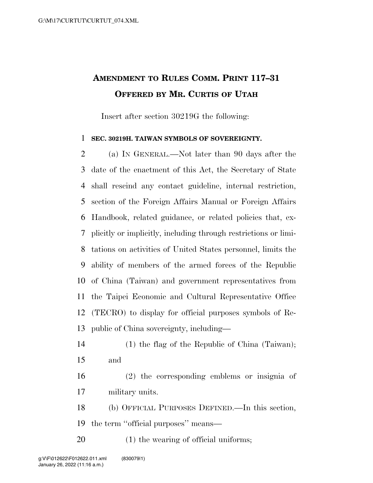## **AMENDMENT TO RULES COMM. PRINT 117–31 OFFERED BY MR. CURTIS OF UTAH**

Insert after section 30219G the following:

## **SEC. 30219H. TAIWAN SYMBOLS OF SOVEREIGNTY.**

 (a) IN GENERAL.—Not later than 90 days after the date of the enactment of this Act, the Secretary of State shall rescind any contact guideline, internal restriction, section of the Foreign Affairs Manual or Foreign Affairs Handbook, related guidance, or related policies that, ex- plicitly or implicitly, including through restrictions or limi- tations on activities of United States personnel, limits the ability of members of the armed forces of the Republic of China (Taiwan) and government representatives from the Taipei Economic and Cultural Representative Office (TECRO) to display for official purposes symbols of Re-public of China sovereignty, including—

- (1) the flag of the Republic of China (Taiwan); and
- (2) the corresponding emblems or insignia of military units.

 (b) OFFICIAL PURPOSES DEFINED.—In this section, the term ''official purposes'' means—

(1) the wearing of official uniforms;